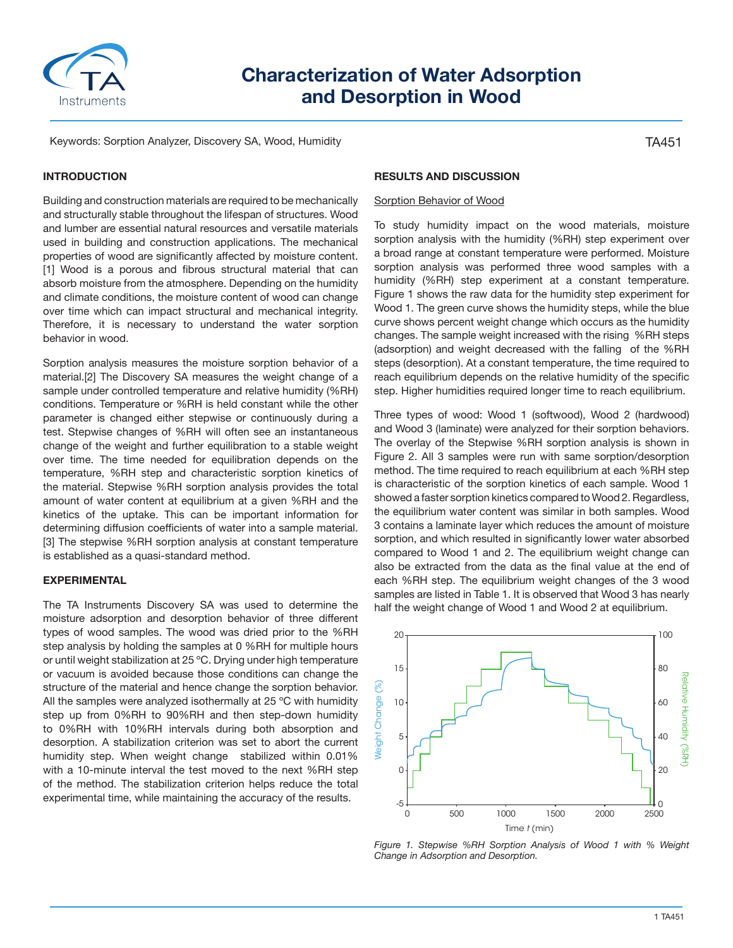

# **Characterization of Water Adsorption and Desorption in Wood**

Keywords: Sorption Analyzer, Discovery SA, Wood, Humidity

## **INTRODUCTION**

Building and construction materials are required to be mechanically and structurally stable throughout the lifespan of structures. Wood and lumber are essential natural resources and versatile materials used in building and construction applications. The mechanical properties of wood are significantly affected by moisture content. [1] Wood is a porous and fibrous structural material that can absorb moisture from the atmosphere. Depending on the humidity and climate conditions, the moisture content of wood can change over time which can impact structural and mechanical integrity. Therefore, it is necessary to understand the water sorption behavior in wood.

Sorption analysis measures the moisture sorption behavior of a material.[2] The Discovery SA measures the weight change of a sample under controlled temperature and relative humidity (%RH) conditions. Temperature or %RH is held constant while the other parameter is changed either stepwise or continuously during a test. Stepwise changes of %RH will often see an instantaneous change of the weight and further equilibration to a stable weight over time. The time needed for equilibration depends on the temperature, %RH step and characteristic sorption kinetics of the material. Stepwise %RH sorption analysis provides the total amount of water content at equilibrium at a given %RH and the kinetics of the uptake. This can be important information for determining diffusion coefficients of water into a sample material. [3] The stepwise %RH sorption analysis at constant temperature is established as a quasi-standard method.

### **EXPERIMENTAL**

The TA Instruments Discovery SA was used to determine the moisture adsorption and desorption behavior of three different types of wood samples. The wood was dried prior to the %RH step analysis by holding the samples at 0 %RH for multiple hours or until weight stabilization at 25 ºC. Drying under high temperature or vacuum is avoided because those conditions can change the structure of the material and hence change the sorption behavior. All the samples were analyzed isothermally at 25 °C with humidity step up from 0%RH to 90%RH and then step-down humidity to 0%RH with 10%RH intervals during both absorption and desorption. A stabilization criterion was set to abort the current humidity step. When weight change stabilized within 0.01% with a 10-minute interval the test moved to the next %RH step of the method. The stabilization criterion helps reduce the total experimental time, while maintaining the accuracy of the results.

#### **RESULTS AND DISCUSSION**

#### Sorption Behavior of Wood

To study humidity impact on the wood materials, moisture sorption analysis with the humidity (%RH) step experiment over a broad range at constant temperature were performed. Moisture sorption analysis was performed three wood samples with a humidity (%RH) step experiment at a constant temperature. Figure 1 shows the raw data for the humidity step experiment for Wood 1. The green curve shows the humidity steps, while the blue curve shows percent weight change which occurs as the humidity changes. The sample weight increased with the rising %RH steps (adsorption) and weight decreased with the falling of the %RH steps (desorption). At a constant temperature, the time required to reach equilibrium depends on the relative humidity of the specific step. Higher humidities required longer time to reach equilibrium.

Three types of wood: Wood 1 (softwood), Wood 2 (hardwood) and Wood 3 (laminate) were analyzed for their sorption behaviors. The overlay of the Stepwise %RH sorption analysis is shown in Figure 2. All 3 samples were run with same sorption/desorption method. The time required to reach equilibrium at each %RH step is characteristic of the sorption kinetics of each sample. Wood 1 showed a faster sorption kinetics compared to Wood 2. Regardless, the equilibrium water content was similar in both samples. Wood 3 contains a laminate layer which reduces the amount of moisture sorption, and which resulted in significantly lower water absorbed compared to Wood 1 and 2. The equilibrium weight change can also be extracted from the data as the final value at the end of each %RH step. The equilibrium weight changes of the 3 wood samples are listed in Table 1. It is observed that Wood 3 has nearly half the weight change of Wood 1 and Wood 2 at equilibrium.



*Figure 1. Stepwise %RH Sorption Analysis of Wood 1 with % Weight Change in Adsorption and Desorption.*